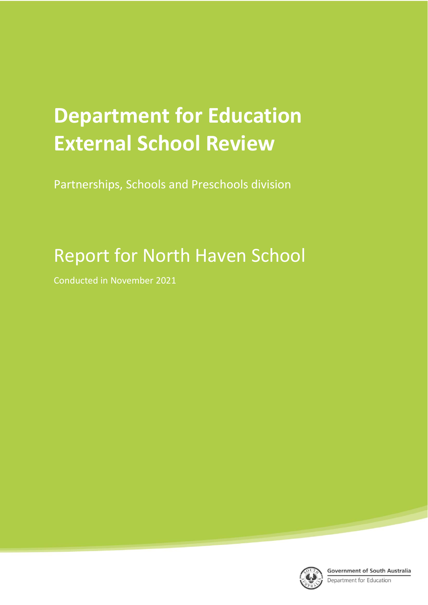# **Department for Education External School Review**

Partnerships, Schools and Preschools division

## Report for North Haven School

Conducted in November 2021

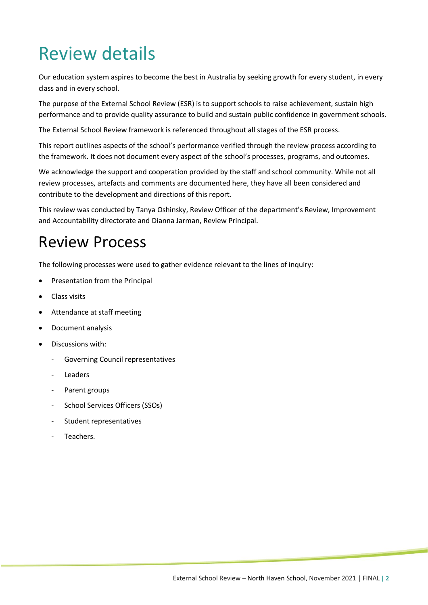## Review details

Our education system aspires to become the best in Australia by seeking growth for every student, in every class and in every school.

The purpose of the External School Review (ESR) is to support schools to raise achievement, sustain high performance and to provide quality assurance to build and sustain public confidence in government schools.

The External School Review framework is referenced throughout all stages of the ESR process.

This report outlines aspects of the school's performance verified through the review process according to the framework. It does not document every aspect of the school's processes, programs, and outcomes.

We acknowledge the support and cooperation provided by the staff and school community. While not all review processes, artefacts and comments are documented here, they have all been considered and contribute to the development and directions of this report.

This review was conducted by Tanya Oshinsky, Review Officer of the department's Review, Improvement and Accountability directorate and Dianna Jarman, Review Principal.

## Review Process

The following processes were used to gather evidence relevant to the lines of inquiry:

- Presentation from the Principal
- Class visits
- Attendance at staff meeting
- Document analysis
- Discussions with:
	- Governing Council representatives
	- **Leaders**
	- Parent groups
	- School Services Officers (SSOs)
	- Student representatives
	- Teachers.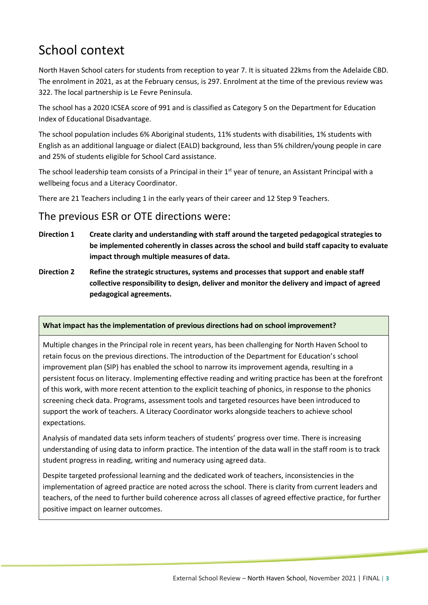## School context

North Haven School caters for students from reception to year 7. It is situated 22kms from the Adelaide CBD. The enrolment in 2021, as at the February census, is 297. Enrolment at the time of the previous review was 322. The local partnership is Le Fevre Peninsula.

The school has a 2020 ICSEA score of 991 and is classified as Category 5 on the Department for Education Index of Educational Disadvantage.

The school population includes 6% Aboriginal students, 11% students with disabilities, 1% students with English as an additional language or dialect (EALD) background, less than 5% children/young people in care and 25% of students eligible for School Card assistance.

The school leadership team consists of a Principal in their 1<sup>st</sup> year of tenure, an Assistant Principal with a wellbeing focus and a Literacy Coordinator.

There are 21 Teachers including 1 in the early years of their career and 12 Step 9 Teachers.

#### The previous ESR or OTE directions were:

- **Direction 1 Create clarity and understanding with staff around the targeted pedagogical strategies to be implemented coherently in classes across the school and build staff capacity to evaluate impact through multiple measures of data.**
- **Direction 2 Refine the strategic structures, systems and processes that support and enable staff collective responsibility to design, deliver and monitor the delivery and impact of agreed pedagogical agreements.**

#### **What impact has the implementation of previous directions had on school improvement?**

Multiple changes in the Principal role in recent years, has been challenging for North Haven School to retain focus on the previous directions. The introduction of the Department for Education's school improvement plan (SIP) has enabled the school to narrow its improvement agenda, resulting in a persistent focus on literacy. Implementing effective reading and writing practice has been at the forefront of this work, with more recent attention to the explicit teaching of phonics, in response to the phonics screening check data. Programs, assessment tools and targeted resources have been introduced to support the work of teachers. A Literacy Coordinator works alongside teachers to achieve school expectations.

Analysis of mandated data sets inform teachers of students' progress over time. There is increasing understanding of using data to inform practice. The intention of the data wall in the staff room is to track student progress in reading, writing and numeracy using agreed data.

Despite targeted professional learning and the dedicated work of teachers, inconsistencies in the implementation of agreed practice are noted across the school. There is clarity from current leaders and teachers, of the need to further build coherence across all classes of agreed effective practice, for further positive impact on learner outcomes.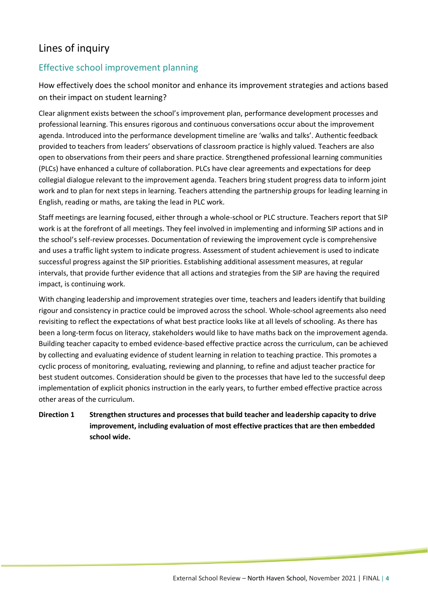### Lines of inquiry

#### Effective school improvement planning

How effectively does the school monitor and enhance its improvement strategies and actions based on their impact on student learning?

Clear alignment exists between the school's improvement plan, performance development processes and professional learning. This ensures rigorous and continuous conversations occur about the improvement agenda. Introduced into the performance development timeline are 'walks and talks'. Authentic feedback provided to teachers from leaders' observations of classroom practice is highly valued. Teachers are also open to observations from their peers and share practice. Strengthened professional learning communities (PLCs) have enhanced a culture of collaboration. PLCs have clear agreements and expectations for deep collegial dialogue relevant to the improvement agenda. Teachers bring student progress data to inform joint work and to plan for next steps in learning. Teachers attending the partnership groups for leading learning in English, reading or maths, are taking the lead in PLC work.

Staff meetings are learning focused, either through a whole-school or PLC structure. Teachers report that SIP work is at the forefront of all meetings. They feel involved in implementing and informing SIP actions and in the school's self-review processes. Documentation of reviewing the improvement cycle is comprehensive and uses a traffic light system to indicate progress. Assessment of student achievement is used to indicate successful progress against the SIP priorities. Establishing additional assessment measures, at regular intervals, that provide further evidence that all actions and strategies from the SIP are having the required impact, is continuing work.

With changing leadership and improvement strategies over time, teachers and leaders identify that building rigour and consistency in practice could be improved across the school. Whole-school agreements also need revisiting to reflect the expectations of what best practice looks like at all levels of schooling. As there has been a long-term focus on literacy, stakeholders would like to have maths back on the improvement agenda. Building teacher capacity to embed evidence-based effective practice across the curriculum, can be achieved by collecting and evaluating evidence of student learning in relation to teaching practice. This promotes a cyclic process of monitoring, evaluating, reviewing and planning, to refine and adjust teacher practice for best student outcomes. Consideration should be given to the processes that have led to the successful deep implementation of explicit phonics instruction in the early years, to further embed effective practice across other areas of the curriculum.

#### **Direction 1 Strengthen structures and processes that build teacher and leadership capacity to drive improvement, including evaluation of most effective practices that are then embedded school wide.**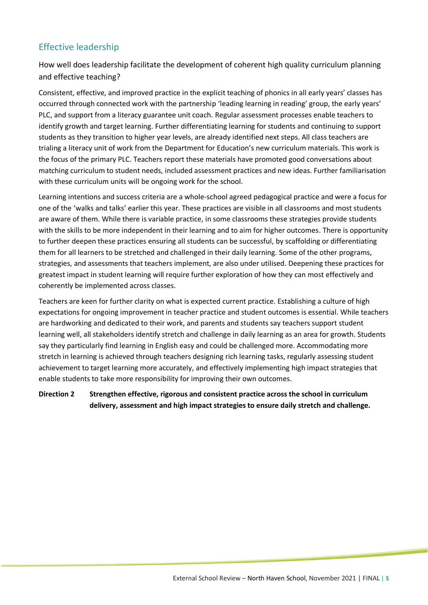#### Effective leadership

How well does leadership facilitate the development of coherent high quality curriculum planning and effective teaching?

Consistent, effective, and improved practice in the explicit teaching of phonics in all early years' classes has occurred through connected work with the partnership 'leading learning in reading' group, the early years' PLC, and support from a literacy guarantee unit coach. Regular assessment processes enable teachers to identify growth and target learning. Further differentiating learning for students and continuing to support students as they transition to higher year levels, are already identified next steps. All class teachers are trialing a literacy unit of work from the Department for Education's new curriculum materials. This work is the focus of the primary PLC. Teachers report these materials have promoted good conversations about matching curriculum to student needs, included assessment practices and new ideas. Further familiarisation with these curriculum units will be ongoing work for the school.

Learning intentions and success criteria are a whole-school agreed pedagogical practice and were a focus for one of the 'walks and talks' earlier this year. These practices are visible in all classrooms and most students are aware of them. While there is variable practice, in some classrooms these strategies provide students with the skills to be more independent in their learning and to aim for higher outcomes. There is opportunity to further deepen these practices ensuring all students can be successful, by scaffolding or differentiating them for all learners to be stretched and challenged in their daily learning. Some of the other programs, strategies, and assessments that teachers implement, are also under utilised. Deepening these practices for greatest impact in student learning will require further exploration of how they can most effectively and coherently be implemented across classes.

Teachers are keen for further clarity on what is expected current practice. Establishing a culture of high expectations for ongoing improvement in teacher practice and student outcomes is essential. While teachers are hardworking and dedicated to their work, and parents and students say teachers support student learning well, all stakeholders identify stretch and challenge in daily learning as an area for growth. Students say they particularly find learning in English easy and could be challenged more. Accommodating more stretch in learning is achieved through teachers designing rich learning tasks, regularly assessing student achievement to target learning more accurately, and effectively implementing high impact strategies that enable students to take more responsibility for improving their own outcomes.

#### **Direction 2 Strengthen effective, rigorous and consistent practice across the school in curriculum delivery, assessment and high impact strategies to ensure daily stretch and challenge.**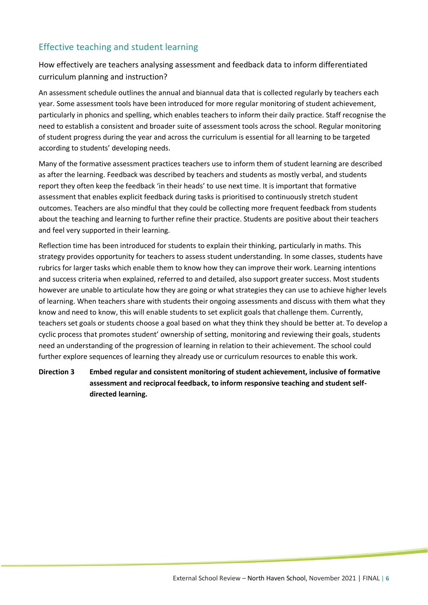#### Effective teaching and student learning

How effectively are teachers analysing assessment and feedback data to inform differentiated curriculum planning and instruction?

An assessment schedule outlines the annual and biannual data that is collected regularly by teachers each year. Some assessment tools have been introduced for more regular monitoring of student achievement, particularly in phonics and spelling, which enables teachers to inform their daily practice. Staff recognise the need to establish a consistent and broader suite of assessment tools across the school. Regular monitoring of student progress during the year and across the curriculum is essential for all learning to be targeted according to students' developing needs.

Many of the formative assessment practices teachers use to inform them of student learning are described as after the learning. Feedback was described by teachers and students as mostly verbal, and students report they often keep the feedback 'in their heads' to use next time. It is important that formative assessment that enables explicit feedback during tasks is prioritised to continuously stretch student outcomes. Teachers are also mindful that they could be collecting more frequent feedback from students about the teaching and learning to further refine their practice. Students are positive about their teachers and feel very supported in their learning.

Reflection time has been introduced for students to explain their thinking, particularly in maths. This strategy provides opportunity for teachers to assess student understanding. In some classes, students have rubrics for larger tasks which enable them to know how they can improve their work. Learning intentions and success criteria when explained, referred to and detailed, also support greater success. Most students however are unable to articulate how they are going or what strategies they can use to achieve higher levels of learning. When teachers share with students their ongoing assessments and discuss with them what they know and need to know, this will enable students to set explicit goals that challenge them. Currently, teachers set goals or students choose a goal based on what they think they should be better at. To develop a cyclic process that promotes student' ownership of setting, monitoring and reviewing their goals, students need an understanding of the progression of learning in relation to their achievement. The school could further explore sequences of learning they already use or curriculum resources to enable this work.

**Direction 3 Embed regular and consistent monitoring of student achievement, inclusive of formative assessment and reciprocal feedback, to inform responsive teaching and student selfdirected learning.**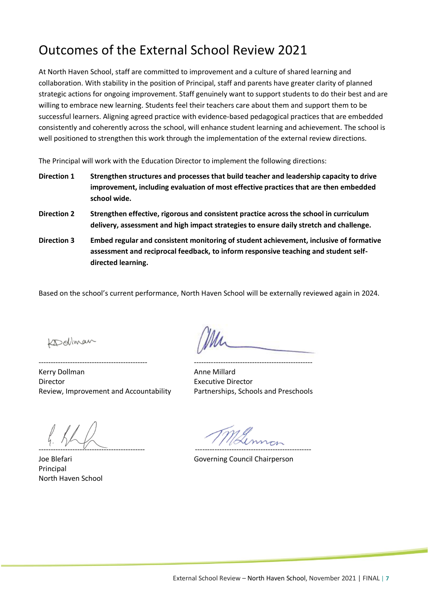### Outcomes of the External School Review 2021

At North Haven School, staff are committed to improvement and a culture of shared learning and collaboration. With stability in the position of Principal, staff and parents have greater clarity of planned strategic actions for ongoing improvement. Staff genuinely want to support students to do their best and are willing to embrace new learning. Students feel their teachers care about them and support them to be successful learners. Aligning agreed practice with evidence-based pedagogical practices that are embedded consistently and coherently across the school, will enhance student learning and achievement. The school is well positioned to strengthen this work through the implementation of the external review directions.

The Principal will work with the Education Director to implement the following directions:

- **Direction 1 Strengthen structures and processes that build teacher and leadership capacity to drive improvement, including evaluation of most effective practices that are then embedded school wide.**
- **Direction 2 Strengthen effective, rigorous and consistent practice across the school in curriculum delivery, assessment and high impact strategies to ensure daily stretch and challenge.**
- **Direction 3 Embed regular and consistent monitoring of student achievement, inclusive of formative assessment and reciprocal feedback, to inform responsive teaching and student selfdirected learning.**

Based on the school's current performance, North Haven School will be externally reviewed again in 2024.

Kollman

--------------------------------------------- ------------------------------------------------- Kerry Dollman **Anne Millard** Anne Millard Director Executive Director Review, Improvement and Accountability Partnerships, Schools and Preschools

-------------------------------------------- ------------------------------------------------

Principal North Haven School

Joe Blefari **Governing Council Chairperson**